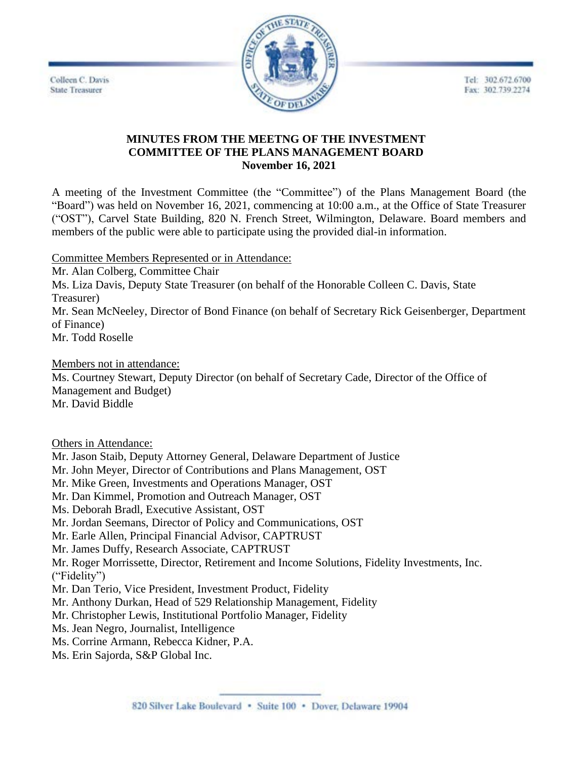Tel: 302.672.6700 Fax: 302.739.2274





### **MINUTES FROM THE MEETNG OF THE INVESTMENT COMMITTEE OF THE PLANS MANAGEMENT BOARD November 16, 2021**

A meeting of the Investment Committee (the "Committee") of the Plans Management Board (the "Board") was held on November 16, 2021, commencing at 10:00 a.m., at the Office of State Treasurer ("OST"), Carvel State Building, 820 N. French Street, Wilmington, Delaware. Board members and members of the public were able to participate using the provided dial-in information.

Committee Members Represented or in Attendance:

Mr. Alan Colberg, Committee Chair Ms. Liza Davis, Deputy State Treasurer (on behalf of the Honorable Colleen C. Davis, State Treasurer) Mr. Sean McNeeley, Director of Bond Finance (on behalf of Secretary Rick Geisenberger, Department of Finance) Mr. Todd Roselle

Members not in attendance: Ms. Courtney Stewart, Deputy Director (on behalf of Secretary Cade, Director of the Office of Management and Budget) Mr. David Biddle

Others in Attendance:

Mr. Jason Staib, Deputy Attorney General, Delaware Department of Justice

Mr. John Meyer, Director of Contributions and Plans Management, OST

Mr. Mike Green, Investments and Operations Manager, OST

Mr. Dan Kimmel, Promotion and Outreach Manager, OST

Ms. Deborah Bradl, Executive Assistant, OST

Mr. Jordan Seemans, Director of Policy and Communications, OST

Mr. Earle Allen, Principal Financial Advisor, CAPTRUST

Mr. James Duffy, Research Associate, CAPTRUST

Mr. Roger Morrissette, Director, Retirement and Income Solutions, Fidelity Investments, Inc. ("Fidelity")

Mr. Dan Terio, Vice President, Investment Product, Fidelity

Mr. Anthony Durkan, Head of 529 Relationship Management, Fidelity

Mr. Christopher Lewis, Institutional Portfolio Manager, Fidelity

Ms. Jean Negro, Journalist, Intelligence

Ms. Corrine Armann, Rebecca Kidner, P.A.

Ms. Erin Sajorda, S&P Global Inc.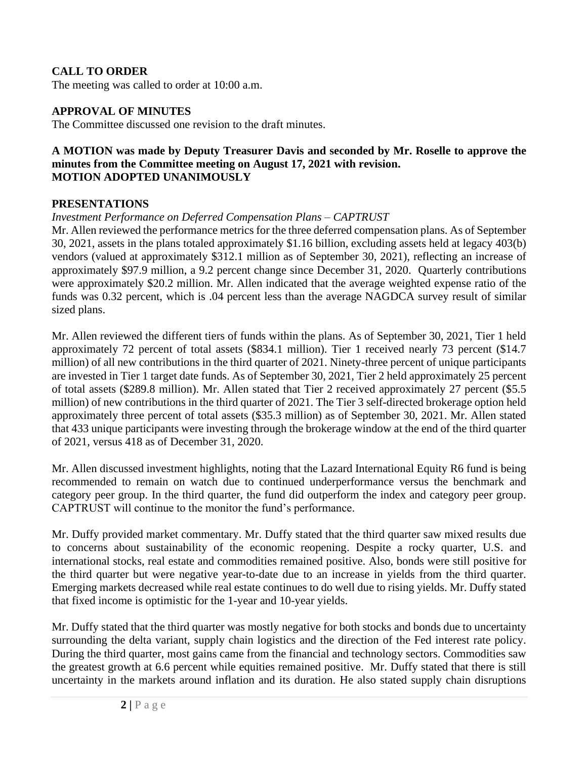### **CALL TO ORDER**

The meeting was called to order at 10:00 a.m.

#### **APPROVAL OF MINUTES**

The Committee discussed one revision to the draft minutes.

#### **A MOTION was made by Deputy Treasurer Davis and seconded by Mr. Roselle to approve the minutes from the Committee meeting on August 17, 2021 with revision. MOTION ADOPTED UNANIMOUSLY**

#### **PRESENTATIONS**

#### *Investment Performance on Deferred Compensation Plans – CAPTRUST*

Mr. Allen reviewed the performance metrics for the three deferred compensation plans. As of September 30, 2021, assets in the plans totaled approximately \$1.16 billion, excluding assets held at legacy 403(b) vendors (valued at approximately \$312.1 million as of September 30, 2021), reflecting an increase of approximately \$97.9 million, a 9.2 percent change since December 31, 2020. Quarterly contributions were approximately \$20.2 million. Mr. Allen indicated that the average weighted expense ratio of the funds was 0.32 percent, which is .04 percent less than the average NAGDCA survey result of similar sized plans.

Mr. Allen reviewed the different tiers of funds within the plans. As of September 30, 2021, Tier 1 held approximately 72 percent of total assets (\$834.1 million). Tier 1 received nearly 73 percent (\$14.7 million) of all new contributions in the third quarter of 2021. Ninety-three percent of unique participants are invested in Tier 1 target date funds. As of September 30, 2021, Tier 2 held approximately 25 percent of total assets (\$289.8 million). Mr. Allen stated that Tier 2 received approximately 27 percent (\$5.5 million) of new contributions in the third quarter of 2021. The Tier 3 self-directed brokerage option held approximately three percent of total assets (\$35.3 million) as of September 30, 2021. Mr. Allen stated that 433 unique participants were investing through the brokerage window at the end of the third quarter of 2021, versus 418 as of December 31, 2020.

Mr. Allen discussed investment highlights, noting that the Lazard International Equity R6 fund is being recommended to remain on watch due to continued underperformance versus the benchmark and category peer group. In the third quarter, the fund did outperform the index and category peer group. CAPTRUST will continue to the monitor the fund's performance.

Mr. Duffy provided market commentary. Mr. Duffy stated that the third quarter saw mixed results due to concerns about sustainability of the economic reopening. Despite a rocky quarter, U.S. and international stocks, real estate and commodities remained positive. Also, bonds were still positive for the third quarter but were negative year-to-date due to an increase in yields from the third quarter. Emerging markets decreased while real estate continues to do well due to rising yields. Mr. Duffy stated that fixed income is optimistic for the 1-year and 10-year yields.

Mr. Duffy stated that the third quarter was mostly negative for both stocks and bonds due to uncertainty surrounding the delta variant, supply chain logistics and the direction of the Fed interest rate policy. During the third quarter, most gains came from the financial and technology sectors. Commodities saw the greatest growth at 6.6 percent while equities remained positive. Mr. Duffy stated that there is still uncertainty in the markets around inflation and its duration. He also stated supply chain disruptions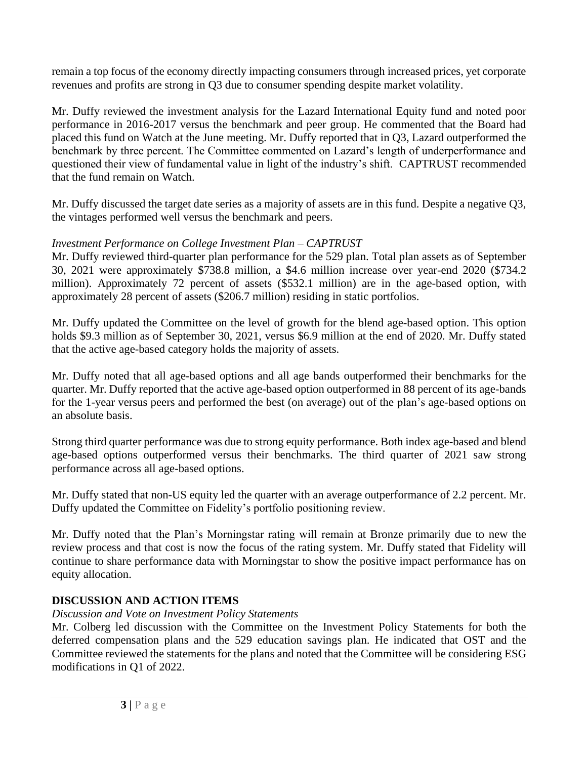remain a top focus of the economy directly impacting consumers through increased prices, yet corporate revenues and profits are strong in Q3 due to consumer spending despite market volatility.

Mr. Duffy reviewed the investment analysis for the Lazard International Equity fund and noted poor performance in 2016-2017 versus the benchmark and peer group. He commented that the Board had placed this fund on Watch at the June meeting. Mr. Duffy reported that in Q3, Lazard outperformed the benchmark by three percent. The Committee commented on Lazard's length of underperformance and questioned their view of fundamental value in light of the industry's shift. CAPTRUST recommended that the fund remain on Watch.

Mr. Duffy discussed the target date series as a majority of assets are in this fund. Despite a negative Q3, the vintages performed well versus the benchmark and peers.

## *Investment Performance on College Investment Plan – CAPTRUST*

Mr. Duffy reviewed third-quarter plan performance for the 529 plan. Total plan assets as of September 30, 2021 were approximately \$738.8 million, a \$4.6 million increase over year-end 2020 (\$734.2 million). Approximately 72 percent of assets (\$532.1 million) are in the age-based option, with approximately 28 percent of assets (\$206.7 million) residing in static portfolios.

Mr. Duffy updated the Committee on the level of growth for the blend age-based option. This option holds \$9.3 million as of September 30, 2021, versus \$6.9 million at the end of 2020. Mr. Duffy stated that the active age-based category holds the majority of assets.

Mr. Duffy noted that all age-based options and all age bands outperformed their benchmarks for the quarter. Mr. Duffy reported that the active age-based option outperformed in 88 percent of its age-bands for the 1-year versus peers and performed the best (on average) out of the plan's age-based options on an absolute basis.

Strong third quarter performance was due to strong equity performance. Both index age-based and blend age-based options outperformed versus their benchmarks. The third quarter of 2021 saw strong performance across all age-based options.

Mr. Duffy stated that non-US equity led the quarter with an average outperformance of 2.2 percent. Mr. Duffy updated the Committee on Fidelity's portfolio positioning review.

Mr. Duffy noted that the Plan's Morningstar rating will remain at Bronze primarily due to new the review process and that cost is now the focus of the rating system. Mr. Duffy stated that Fidelity will continue to share performance data with Morningstar to show the positive impact performance has on equity allocation.

# **DISCUSSION AND ACTION ITEMS**

## *Discussion and Vote on Investment Policy Statements*

Mr. Colberg led discussion with the Committee on the Investment Policy Statements for both the deferred compensation plans and the 529 education savings plan. He indicated that OST and the Committee reviewed the statements for the plans and noted that the Committee will be considering ESG modifications in Q1 of 2022.